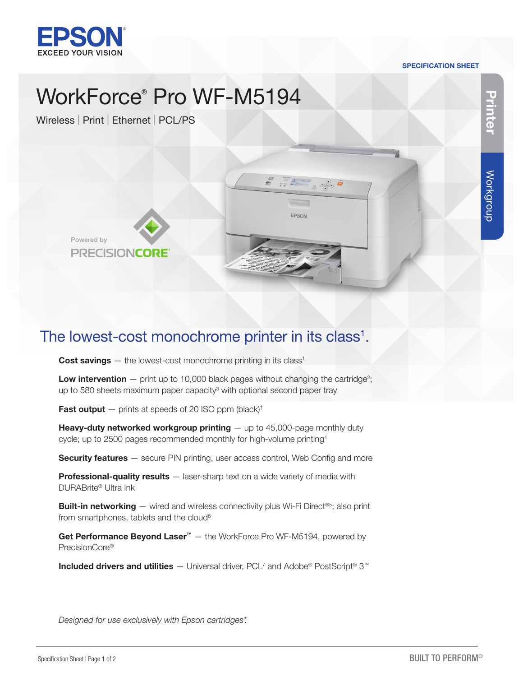

# SPECIFICATION SHEET

# WorkForce® Pro WF-M5194

Wireless | Print | Ethernet | PCL/PS



**Printer**

The lowest-cost monochrome printer in its class<sup>1</sup>.

**Cost savings**  $-$  the lowest-cost monochrome printing in its class<sup>1</sup>

**Low intervention**  $-$  print up to 10,000 black pages without changing the cartridge<sup>2</sup>; up to 580 sheets maximum paper capacity<sup>3</sup> with optional second paper tray

s ri

EPSON

 $\begin{picture}(120,10) \put(0,0){\line(1,0){10}} \put(15,0){\line(1,0){10}} \put(15,0){\line(1,0){10}} \put(15,0){\line(1,0){10}} \put(15,0){\line(1,0){10}} \put(15,0){\line(1,0){10}} \put(15,0){\line(1,0){10}} \put(15,0){\line(1,0){10}} \put(15,0){\line(1,0){10}} \put(15,0){\line(1,0){10}} \put(15,0){\line(1,0){10}} \put(15,0){\line($ 

**Fast output**  $-$  prints at speeds of 20 ISO ppm (black)<sup>†</sup>

**Heavy-duty networked workgroup printing**  $-$  up to 45,000-page monthly duty cycle; up to 2500 pages recommended monthly for high-volume printing4

**Security features** – secure PIN printing, user access control, Web Config and more

**Professional-quality results**  $-$  laser-sharp text on a wide variety of media with DURABrite® Ultra Ink

**Built-in networking** — wired and wireless connectivity plus Wi-Fi Direct<sup>®5</sup>; also print from smartphones, tablets and the cloud<sup>6</sup>

Get Performance Beyond Laser<sup>™</sup> – the WorkForce Pro WF-M5194, powered by PrecisionCore®

**Included drivers and utilities** — Universal driver, PCL<sup>7</sup> and Adobe® PostScript® 3™

*Designed for use exclusively with Epson cartridges\*.*